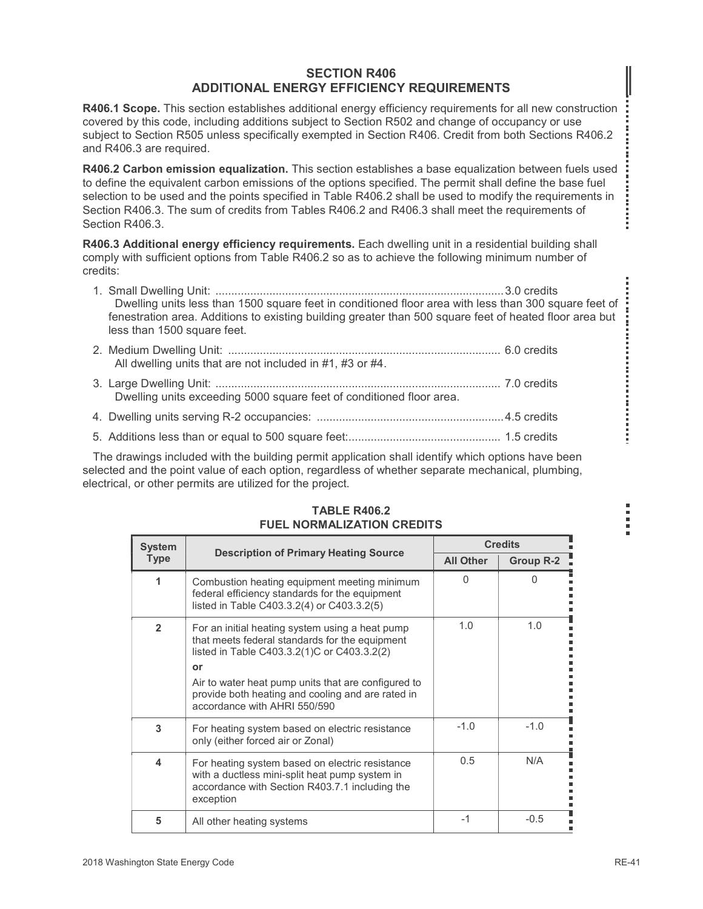#### SECTION R406 ADDITIONAL ENERGY EFFICIENCY REQUIREMENTS

**SECTION R406<br>
ADDITIONAL ENERGY EFFICIENCY REQUIREMENTS**<br>
R406.1 Scope. This section establishes additional energy efficiency requirements for all new construction<br>
covered by this code, including additions subject to Sec covered by this code, including additions subject to Section R502 and change of occupancy or use subject to Section R505 unless specifically exempted in Section R406. Credit from both Sections R406.2 and R406.3 are required.

|                |                              | <b>SECTION R406</b><br><b>ADDITIONAL ENERGY EFFICIENCY REQUIREMENTS</b>                                                                                                                                                                                                                                                                                                                                                     |                  |                                    |  |
|----------------|------------------------------|-----------------------------------------------------------------------------------------------------------------------------------------------------------------------------------------------------------------------------------------------------------------------------------------------------------------------------------------------------------------------------------------------------------------------------|------------------|------------------------------------|--|
|                | nd R406.3 are required.      | 406.1 Scope. This section establishes additional energy efficiency requirements for all new construction<br>overed by this code, including additions subject to Section R502 and change of occupancy or use<br>2.406.2 ubject to Section R505 unless specifically exempted in Section R406. Credit from both Sections R406.2                                                                                                |                  |                                    |  |
| ection R406.3. |                              | 406.2 Carbon emission equalization. This section establishes a base equalization between fuels used<br>define the equivalent carbon emissions of the options specified. The permit shall define the base fuel<br>election to be used and the points specified in Table R406.2 shall be used to modify the requirements in<br>ection R406.3. The sum of credits from Tables R406.2 and R406.3 shall meet the requirements of |                  |                                    |  |
| edits:         |                              | 406.3 Additional energy efficiency requirements. Each dwelling unit in a residential building shall<br>omply with sufficient options from Table R406.2 so as to achieve the following minimum number of                                                                                                                                                                                                                     |                  |                                    |  |
|                |                              | Dwelling units less than 1500 square feet in conditioned floor area with less than 300 square feet of<br>fenestration area. Additions to existing building greater than 500 square feet of heated floor area but<br>less than 1500 square feet.                                                                                                                                                                             |                  |                                    |  |
|                |                              | All dwelling units that are not included in #1, #3 or #4.                                                                                                                                                                                                                                                                                                                                                                   |                  |                                    |  |
|                |                              | Dwelling units exceeding 5000 square feet of conditioned floor area.                                                                                                                                                                                                                                                                                                                                                        |                  |                                    |  |
|                |                              |                                                                                                                                                                                                                                                                                                                                                                                                                             |                  |                                    |  |
|                |                              |                                                                                                                                                                                                                                                                                                                                                                                                                             |                  |                                    |  |
|                |                              | The drawings included with the building permit application shall identify which options have been<br>elected and the point value of each option, regardless of whether separate mechanical, plumbing,<br>ectrical, or other permits are utilized for the project.                                                                                                                                                           |                  |                                    |  |
|                |                              | <b>TABLE R406.2</b><br><b>FUEL NORMALIZATION CREDITS</b>                                                                                                                                                                                                                                                                                                                                                                    |                  |                                    |  |
|                | <b>System</b><br><b>Type</b> | <b>Description of Primary Heating Source</b>                                                                                                                                                                                                                                                                                                                                                                                | <b>All Other</b> | <b>Credits</b><br><b>Group R-2</b> |  |
|                | $\mathbf{1}$                 | Combustion heating equipment meeting minimum<br>federal efficiency standards for the equipment<br>listed in Table C403.3.2(4) or C403.3.2(5)                                                                                                                                                                                                                                                                                | $\mathbf 0$      | $\mathbf 0$                        |  |
|                | $\overline{\mathbf{2}}$      | For an initial heating system using a heat pump<br>that meets federal standards for the equipment<br>listed in Table C403 3 2(1)C or C403 3 2(2)                                                                                                                                                                                                                                                                            | 1.0              | 1.0                                |  |

- 
- 

#### TABLE R406.2 FUEL NORMALIZATION CREDITS

|                | less than 1500 square feet.                                                                                                                                                                                                                                                                        |                  |                |
|----------------|----------------------------------------------------------------------------------------------------------------------------------------------------------------------------------------------------------------------------------------------------------------------------------------------------|------------------|----------------|
|                | All dwelling units that are not included in #1, #3 or #4.                                                                                                                                                                                                                                          |                  |                |
|                | Dwelling units exceeding 5000 square feet of conditioned floor area.                                                                                                                                                                                                                               |                  |                |
|                |                                                                                                                                                                                                                                                                                                    |                  |                |
|                |                                                                                                                                                                                                                                                                                                    |                  |                |
|                | The drawings included with the building permit application shall identify which options have been<br>selected and the point value of each option, regardless of whether separate mechanical, plumbing,<br>electrical, or other permits are utilized for the project.                               |                  |                |
|                | <b>TABLE R406.2</b><br><b>FUEL NORMALIZATION CREDITS</b>                                                                                                                                                                                                                                           |                  |                |
| <b>System</b>  | <b>Description of Primary Heating Source</b>                                                                                                                                                                                                                                                       |                  | <b>Credits</b> |
| <b>Type</b>    |                                                                                                                                                                                                                                                                                                    | <b>All Other</b> | Group R-2      |
| $\mathbf{1}$   | Combustion heating equipment meeting minimum<br>federal efficiency standards for the equipment<br>listed in Table C403.3.2(4) or C403.3.2(5)                                                                                                                                                       | 0                | $\mathbf{0}$   |
| $\overline{2}$ | For an initial heating system using a heat pump<br>that meets federal standards for the equipment<br>listed in Table C403.3.2(1)C or C403.3.2(2)<br>or<br>Air to water heat pump units that are configured to<br>provide both heating and cooling and are rated in<br>accordance with AHRI 550/590 | 1.0              | 1.0            |
| 3              | For heating system based on electric resistance<br>only (either forced air or Zonal)                                                                                                                                                                                                               | $-1.0$           | $-1.0$         |
| 4              | For heating system based on electric resistance<br>with a ductless mini-split heat pump system in<br>accordance with Section R403.7.1 including the<br>exception                                                                                                                                   | 0.5              | N/A            |
| 5              | All other heating systems                                                                                                                                                                                                                                                                          | $-1$             | $-0.5$         |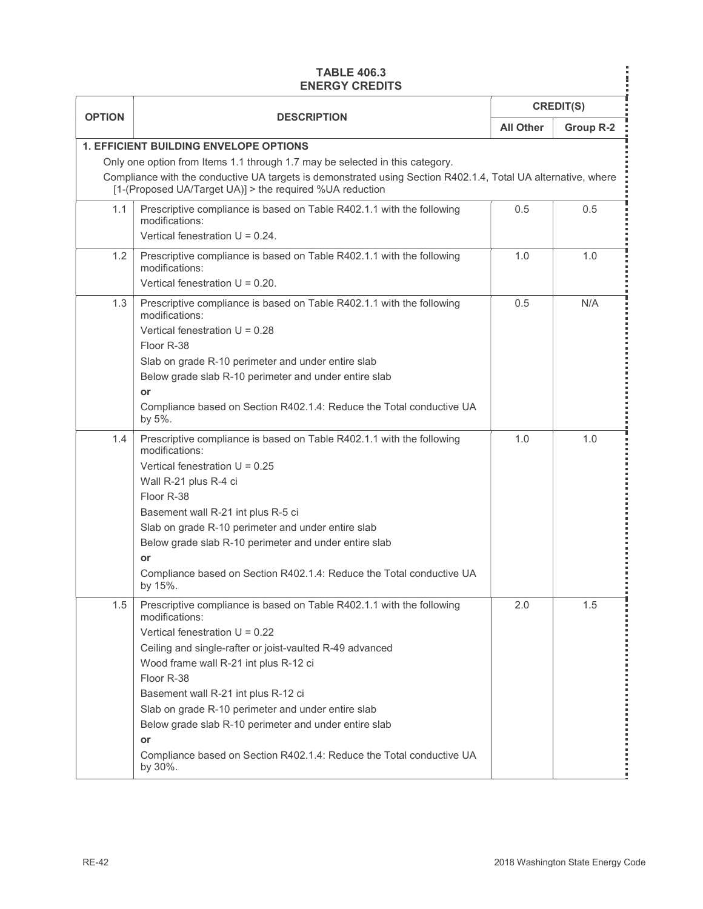#### TABLE 406.3

|               | <b>TABLE 406.3</b><br><b>ENERGY CREDITS</b>                                                                                                                                                                                                                                                                                                                                                                                                                                                   |                  | <b>CREDIT(S)</b> |
|---------------|-----------------------------------------------------------------------------------------------------------------------------------------------------------------------------------------------------------------------------------------------------------------------------------------------------------------------------------------------------------------------------------------------------------------------------------------------------------------------------------------------|------------------|------------------|
| <b>OPTION</b> | <b>DESCRIPTION</b>                                                                                                                                                                                                                                                                                                                                                                                                                                                                            | <b>All Other</b> | Group R-2        |
|               | 1. EFFICIENT BUILDING ENVELOPE OPTIONS<br>Only one option from Items 1.1 through 1.7 may be selected in this category.<br>Compliance with the conductive UA targets is demonstrated using Section R402.1.4, Total UA alternative, where<br>[1-(Proposed UA/Target UA)] > the required %UA reduction                                                                                                                                                                                           |                  |                  |
| 1.1           | Prescriptive compliance is based on Table R402.1.1 with the following<br>modifications:                                                                                                                                                                                                                                                                                                                                                                                                       | 0.5              | 0.5              |
| 1.2           | Vertical fenestration $U = 0.24$ .<br>Prescriptive compliance is based on Table R402.1.1 with the following<br>modifications:<br>Vertical fenestration $U = 0.20$ .                                                                                                                                                                                                                                                                                                                           | 1.0              | 1.0              |
| 1.3           | Prescriptive compliance is based on Table R402.1.1 with the following<br>modifications:<br>Vertical fenestration $U = 0.28$<br>Floor R-38<br>Slab on grade R-10 perimeter and under entire slab<br>Below grade slab R-10 perimeter and under entire slab<br>or<br>Compliance based on Section R402.1.4: Reduce the Total conductive UA<br>by 5%.                                                                                                                                              | 0.5              | N/A              |
| 1.4           | Prescriptive compliance is based on Table R402.1.1 with the following<br>modifications:<br>Vertical fenestration $U = 0.25$<br>Wall R-21 plus R-4 ci<br>Floor R-38<br>Basement wall R-21 int plus R-5 ci<br>Slab on grade R-10 perimeter and under entire slab<br>Below grade slab R-10 perimeter and under entire slab<br>or<br>Compliance based on Section R402.1.4: Reduce the Total conductive UA<br>by 15%.                                                                              | $1.0$            | 1.0              |
| 1.5           | Prescriptive compliance is based on Table R402.1.1 with the following<br>modifications:<br>Vertical fenestration $U = 0.22$<br>Ceiling and single-rafter or joist-vaulted R-49 advanced<br>Wood frame wall R-21 int plus R-12 ci<br>Floor R-38<br>Basement wall R-21 int plus R-12 ci<br>Slab on grade R-10 perimeter and under entire slab<br>Below grade slab R-10 perimeter and under entire slab<br>or<br>Compliance based on Section R402.1.4: Reduce the Total conductive UA<br>by 30%. | 2.0              | 1.5              |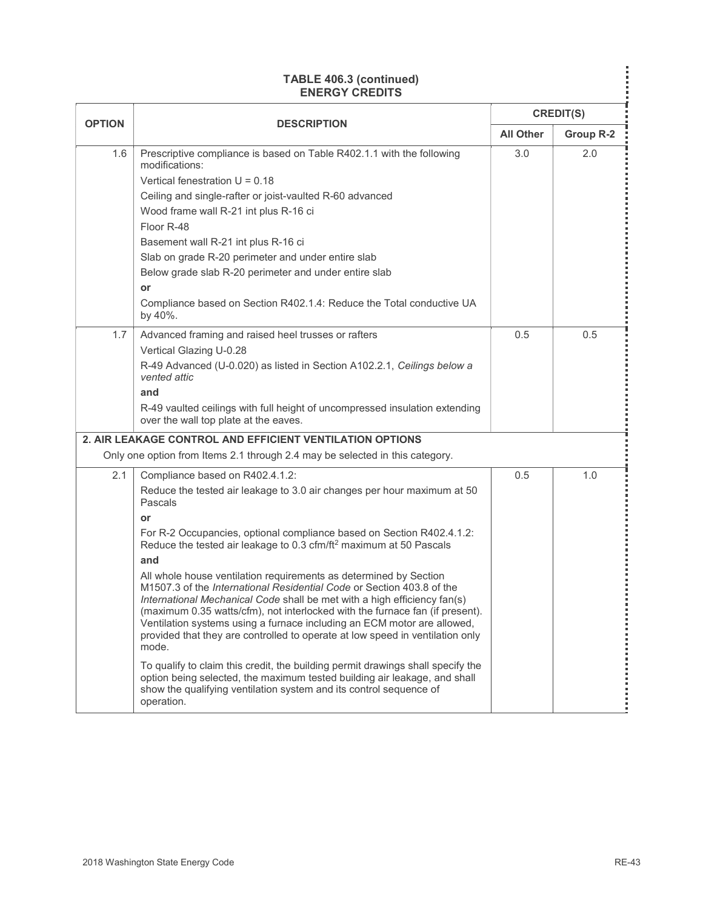| <b>TABLE 406.3 (continued)</b><br><b>ENERGY CREDITS</b><br><b>CREDIT(S)</b><br><b>OPTION</b><br><b>DESCRIPTION</b><br>Group R-2<br><b>All Other</b><br>Prescriptive compliance is based on Table R402.1.1 with the following<br>1.6<br>3.0<br>2.0<br>modifications:<br>Vertical fenestration $U = 0.18$<br>Ceiling and single-rafter or joist-vaulted R-60 advanced<br>Wood frame wall R-21 int plus R-16 ci<br>Floor R-48<br>Basement wall R-21 int plus R-16 ci                                                                                                                                                                                                                                                                                                                                                                                                                                                                                                                                                                                       |
|---------------------------------------------------------------------------------------------------------------------------------------------------------------------------------------------------------------------------------------------------------------------------------------------------------------------------------------------------------------------------------------------------------------------------------------------------------------------------------------------------------------------------------------------------------------------------------------------------------------------------------------------------------------------------------------------------------------------------------------------------------------------------------------------------------------------------------------------------------------------------------------------------------------------------------------------------------------------------------------------------------------------------------------------------------|
|                                                                                                                                                                                                                                                                                                                                                                                                                                                                                                                                                                                                                                                                                                                                                                                                                                                                                                                                                                                                                                                         |
|                                                                                                                                                                                                                                                                                                                                                                                                                                                                                                                                                                                                                                                                                                                                                                                                                                                                                                                                                                                                                                                         |
| Slab on grade R-20 perimeter and under entire slab<br>Below grade slab R-20 perimeter and under entire slab<br>or<br>Compliance based on Section R402.1.4: Reduce the Total conductive UA<br>by 40%.                                                                                                                                                                                                                                                                                                                                                                                                                                                                                                                                                                                                                                                                                                                                                                                                                                                    |
| Advanced framing and raised heel trusses or rafters<br>0.5<br>0.5<br>1.7<br>Vertical Glazing U-0.28<br>R-49 Advanced (U-0.020) as listed in Section A102.2.1, Ceilings below a<br>vented attic<br>and<br>R-49 vaulted ceilings with full height of uncompressed insulation extending<br>over the wall top plate at the eaves.<br>2. AIR LEAKAGE CONTROL AND EFFICIENT VENTILATION OPTIONS<br>Only one option from Items 2.1 through 2.4 may be selected in this category.                                                                                                                                                                                                                                                                                                                                                                                                                                                                                                                                                                               |
| 2.1<br>0.5<br>$1.0$<br>Compliance based on R402.4.1.2:<br>Reduce the tested air leakage to 3.0 air changes per hour maximum at 50<br>Pascals<br>or<br>For R-2 Occupancies, optional compliance based on Section R402.4.1.2:<br>Reduce the tested air leakage to 0.3 cfm/ft <sup>2</sup> maximum at 50 Pascals<br>and<br>All whole house ventilation requirements as determined by Section<br>M1507.3 of the International Residential Code or Section 403.8 of the<br>International Mechanical Code shall be met with a high efficiency fan(s)<br>(maximum 0.35 watts/cfm), not interlocked with the furnace fan (if present).<br>Ventilation systems using a furnace including an ECM motor are allowed,<br>provided that they are controlled to operate at low speed in ventilation only<br>mode.<br>To qualify to claim this credit, the building permit drawings shall specify the<br>option being selected, the maximum tested building air leakage, and shall<br>show the qualifying ventilation system and its control sequence of<br>operation. |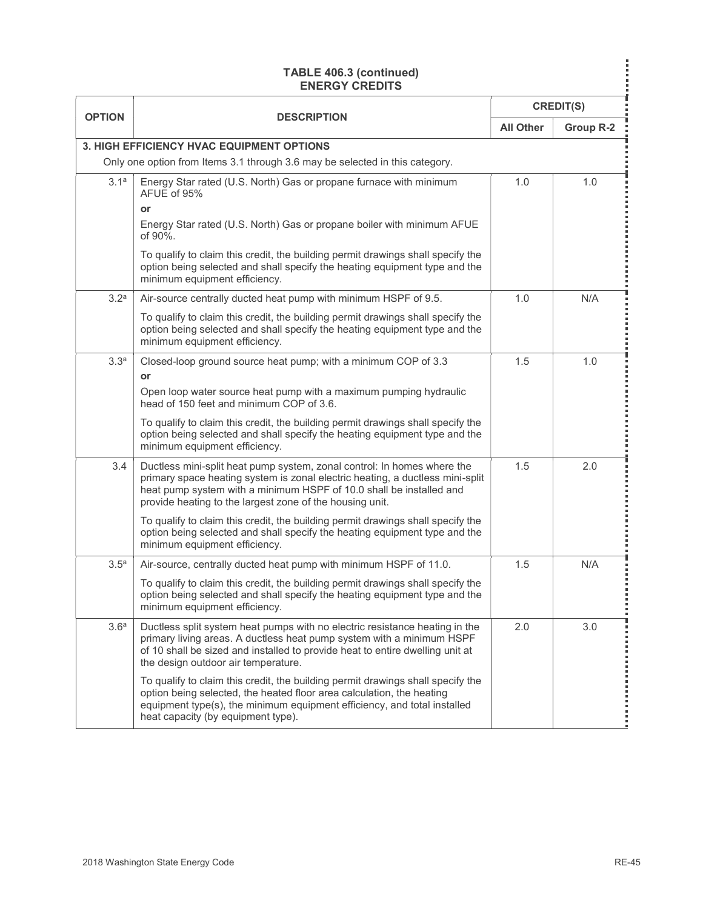|                  | <b>TABLE 406.3 (continued)</b><br><b>ENERGY CREDITS</b>                                                                                                                                                                                                                                     |                  |           |
|------------------|---------------------------------------------------------------------------------------------------------------------------------------------------------------------------------------------------------------------------------------------------------------------------------------------|------------------|-----------|
| <b>OPTION</b>    | <b>DESCRIPTION</b>                                                                                                                                                                                                                                                                          | <b>CREDIT(S)</b> |           |
|                  | 3. HIGH EFFICIENCY HVAC EQUIPMENT OPTIONS                                                                                                                                                                                                                                                   | <b>All Other</b> | Group R-2 |
|                  | Only one option from Items 3.1 through 3.6 may be selected in this category.                                                                                                                                                                                                                |                  |           |
| 3.1 <sup>a</sup> | Energy Star rated (U.S. North) Gas or propane furnace with minimum<br>AFUE of 95%<br>or                                                                                                                                                                                                     | 1.0              | 1.0       |
|                  | Energy Star rated (U.S. North) Gas or propane boiler with minimum AFUE<br>of 90%.                                                                                                                                                                                                           |                  |           |
|                  | To qualify to claim this credit, the building permit drawings shall specify the<br>option being selected and shall specify the heating equipment type and the<br>minimum equipment efficiency.                                                                                              |                  |           |
| 3.2 <sup>a</sup> | Air-source centrally ducted heat pump with minimum HSPF of 9.5.                                                                                                                                                                                                                             | 1.0              | N/A       |
|                  | To qualify to claim this credit, the building permit drawings shall specify the<br>option being selected and shall specify the heating equipment type and the<br>minimum equipment efficiency.                                                                                              |                  |           |
| 3.3 <sup>a</sup> | Closed-loop ground source heat pump; with a minimum COP of 3.3<br>or                                                                                                                                                                                                                        | 1.5              | 1.0       |
|                  | Open loop water source heat pump with a maximum pumping hydraulic<br>head of 150 feet and minimum COP of 3.6.<br>To qualify to claim this credit, the building permit drawings shall specify the                                                                                            |                  |           |
|                  | option being selected and shall specify the heating equipment type and the<br>minimum equipment efficiency.                                                                                                                                                                                 |                  |           |
| 3.4              | Ductless mini-split heat pump system, zonal control: In homes where the<br>primary space heating system is zonal electric heating, a ductless mini-split<br>heat pump system with a minimum HSPF of 10.0 shall be installed and<br>provide heating to the largest zone of the housing unit. | 1.5              | 2.0       |
|                  | To qualify to claim this credit, the building permit drawings shall specify the<br>option being selected and shall specify the heating equipment type and the<br>minimum equipment efficiency.                                                                                              |                  |           |
| 3.5 <sup>a</sup> | Air-source, centrally ducted heat pump with minimum HSPF of 11.0.<br>To qualify to claim this credit, the building permit drawings shall specify the<br>option being selected and shall specify the heating equipment type and the<br>minimum equipment efficiency.                         | 1.5              | N/A       |
| 3.6 <sup>a</sup> | Ductless split system heat pumps with no electric resistance heating in the<br>primary living areas. A ductless heat pump system with a minimum HSPF<br>of 10 shall be sized and installed to provide heat to entire dwelling unit at<br>the design outdoor air temperature.                | 2.0              | $3.0\,$   |
|                  | To qualify to claim this credit, the building permit drawings shall specify the<br>option being selected, the heated floor area calculation, the heating<br>equipment type(s), the minimum equipment efficiency, and total installed<br>heat capacity (by equipment type).                  |                  |           |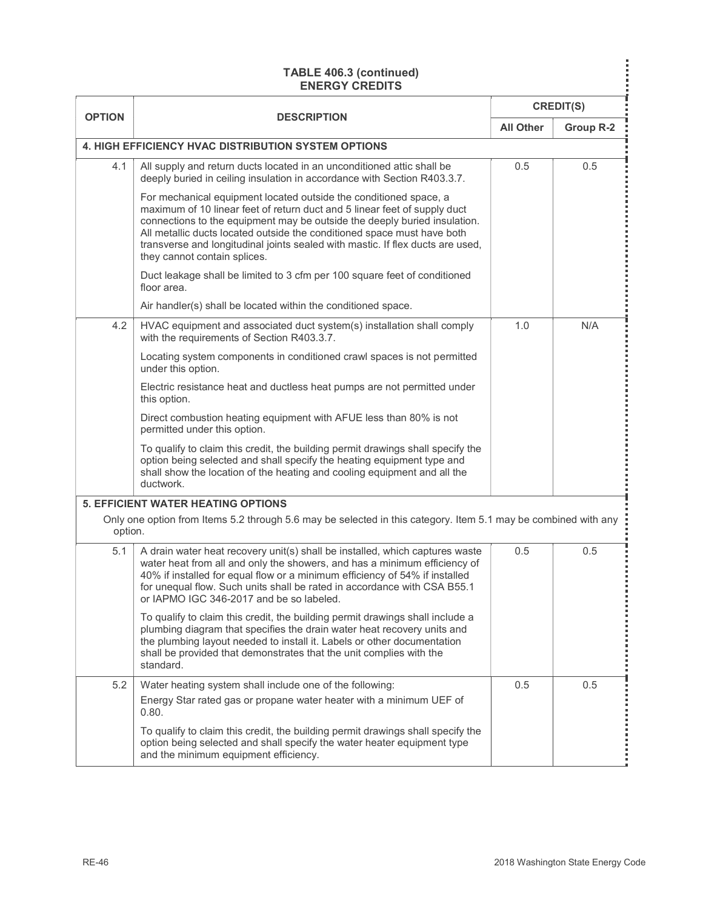| <b>CREDIT(S)</b><br><b>OPTION</b><br><b>DESCRIPTION</b><br><b>All Other</b><br>Group R-2<br>4. HIGH EFFICIENCY HVAC DISTRIBUTION SYSTEM OPTIONS<br>0.5<br>0.5<br>4.1<br>All supply and return ducts located in an unconditioned attic shall be<br>deeply buried in ceiling insulation in accordance with Section R403.3.7.<br>For mechanical equipment located outside the conditioned space, a<br>maximum of 10 linear feet of return duct and 5 linear feet of supply duct<br>connections to the equipment may be outside the deeply buried insulation.<br>All metallic ducts located outside the conditioned space must have both<br>transverse and longitudinal joints sealed with mastic. If flex ducts are used,<br>they cannot contain splices.<br>Duct leakage shall be limited to 3 cfm per 100 square feet of conditioned<br>floor area.<br>Air handler(s) shall be located within the conditioned space.<br>1.0<br>N/A<br>4.2<br>HVAC equipment and associated duct system(s) installation shall comply<br>with the requirements of Section R403.3.7.<br>Locating system components in conditioned crawl spaces is not permitted<br>under this option.<br>Electric resistance heat and ductless heat pumps are not permitted under<br>this option.<br>Direct combustion heating equipment with AFUE less than 80% is not<br>permitted under this option.<br>To qualify to claim this credit, the building permit drawings shall specify the<br>option being selected and shall specify the heating equipment type and<br>shall show the location of the heating and cooling equipment and all the<br>ductwork.<br><b>5. EFFICIENT WATER HEATING OPTIONS</b><br>Only one option from Items 5.2 through 5.6 may be selected in this category. Item 5.1 may be combined with any<br>option.<br>A drain water heat recovery unit(s) shall be installed, which captures waste<br>0.5<br>0.5<br>5.1<br>water heat from all and only the showers, and has a minimum efficiency of<br>40% if installed for equal flow or a minimum efficiency of 54% if installed<br>for unequal flow. Such units shall be rated in accordance with CSA B55.1 |
|--------------------------------------------------------------------------------------------------------------------------------------------------------------------------------------------------------------------------------------------------------------------------------------------------------------------------------------------------------------------------------------------------------------------------------------------------------------------------------------------------------------------------------------------------------------------------------------------------------------------------------------------------------------------------------------------------------------------------------------------------------------------------------------------------------------------------------------------------------------------------------------------------------------------------------------------------------------------------------------------------------------------------------------------------------------------------------------------------------------------------------------------------------------------------------------------------------------------------------------------------------------------------------------------------------------------------------------------------------------------------------------------------------------------------------------------------------------------------------------------------------------------------------------------------------------------------------------------------------------------------------------------------------------------------------------------------------------------------------------------------------------------------------------------------------------------------------------------------------------------------------------------------------------------------------------------------------------------------------------------------------------------------------------------------------------------------------------------------------------------------------------------------|
|                                                                                                                                                                                                                                                                                                                                                                                                                                                                                                                                                                                                                                                                                                                                                                                                                                                                                                                                                                                                                                                                                                                                                                                                                                                                                                                                                                                                                                                                                                                                                                                                                                                                                                                                                                                                                                                                                                                                                                                                                                                                                                                                                  |
|                                                                                                                                                                                                                                                                                                                                                                                                                                                                                                                                                                                                                                                                                                                                                                                                                                                                                                                                                                                                                                                                                                                                                                                                                                                                                                                                                                                                                                                                                                                                                                                                                                                                                                                                                                                                                                                                                                                                                                                                                                                                                                                                                  |
|                                                                                                                                                                                                                                                                                                                                                                                                                                                                                                                                                                                                                                                                                                                                                                                                                                                                                                                                                                                                                                                                                                                                                                                                                                                                                                                                                                                                                                                                                                                                                                                                                                                                                                                                                                                                                                                                                                                                                                                                                                                                                                                                                  |
|                                                                                                                                                                                                                                                                                                                                                                                                                                                                                                                                                                                                                                                                                                                                                                                                                                                                                                                                                                                                                                                                                                                                                                                                                                                                                                                                                                                                                                                                                                                                                                                                                                                                                                                                                                                                                                                                                                                                                                                                                                                                                                                                                  |
|                                                                                                                                                                                                                                                                                                                                                                                                                                                                                                                                                                                                                                                                                                                                                                                                                                                                                                                                                                                                                                                                                                                                                                                                                                                                                                                                                                                                                                                                                                                                                                                                                                                                                                                                                                                                                                                                                                                                                                                                                                                                                                                                                  |
|                                                                                                                                                                                                                                                                                                                                                                                                                                                                                                                                                                                                                                                                                                                                                                                                                                                                                                                                                                                                                                                                                                                                                                                                                                                                                                                                                                                                                                                                                                                                                                                                                                                                                                                                                                                                                                                                                                                                                                                                                                                                                                                                                  |
|                                                                                                                                                                                                                                                                                                                                                                                                                                                                                                                                                                                                                                                                                                                                                                                                                                                                                                                                                                                                                                                                                                                                                                                                                                                                                                                                                                                                                                                                                                                                                                                                                                                                                                                                                                                                                                                                                                                                                                                                                                                                                                                                                  |
|                                                                                                                                                                                                                                                                                                                                                                                                                                                                                                                                                                                                                                                                                                                                                                                                                                                                                                                                                                                                                                                                                                                                                                                                                                                                                                                                                                                                                                                                                                                                                                                                                                                                                                                                                                                                                                                                                                                                                                                                                                                                                                                                                  |
|                                                                                                                                                                                                                                                                                                                                                                                                                                                                                                                                                                                                                                                                                                                                                                                                                                                                                                                                                                                                                                                                                                                                                                                                                                                                                                                                                                                                                                                                                                                                                                                                                                                                                                                                                                                                                                                                                                                                                                                                                                                                                                                                                  |
|                                                                                                                                                                                                                                                                                                                                                                                                                                                                                                                                                                                                                                                                                                                                                                                                                                                                                                                                                                                                                                                                                                                                                                                                                                                                                                                                                                                                                                                                                                                                                                                                                                                                                                                                                                                                                                                                                                                                                                                                                                                                                                                                                  |
|                                                                                                                                                                                                                                                                                                                                                                                                                                                                                                                                                                                                                                                                                                                                                                                                                                                                                                                                                                                                                                                                                                                                                                                                                                                                                                                                                                                                                                                                                                                                                                                                                                                                                                                                                                                                                                                                                                                                                                                                                                                                                                                                                  |
| or IAPMO IGC 346-2017 and be so labeled.                                                                                                                                                                                                                                                                                                                                                                                                                                                                                                                                                                                                                                                                                                                                                                                                                                                                                                                                                                                                                                                                                                                                                                                                                                                                                                                                                                                                                                                                                                                                                                                                                                                                                                                                                                                                                                                                                                                                                                                                                                                                                                         |
| To qualify to claim this credit, the building permit drawings shall include a<br>plumbing diagram that specifies the drain water heat recovery units and<br>the plumbing layout needed to install it. Labels or other documentation<br>shall be provided that demonstrates that the unit complies with the<br>standard.                                                                                                                                                                                                                                                                                                                                                                                                                                                                                                                                                                                                                                                                                                                                                                                                                                                                                                                                                                                                                                                                                                                                                                                                                                                                                                                                                                                                                                                                                                                                                                                                                                                                                                                                                                                                                          |
| Water heating system shall include one of the following:<br>0.5<br>0.5<br>5.2<br>Energy Star rated gas or propane water heater with a minimum UEF of                                                                                                                                                                                                                                                                                                                                                                                                                                                                                                                                                                                                                                                                                                                                                                                                                                                                                                                                                                                                                                                                                                                                                                                                                                                                                                                                                                                                                                                                                                                                                                                                                                                                                                                                                                                                                                                                                                                                                                                             |
| 0.80.<br>To qualify to claim this credit, the building permit drawings shall specify the<br>option being selected and shall specify the water heater equipment type                                                                                                                                                                                                                                                                                                                                                                                                                                                                                                                                                                                                                                                                                                                                                                                                                                                                                                                                                                                                                                                                                                                                                                                                                                                                                                                                                                                                                                                                                                                                                                                                                                                                                                                                                                                                                                                                                                                                                                              |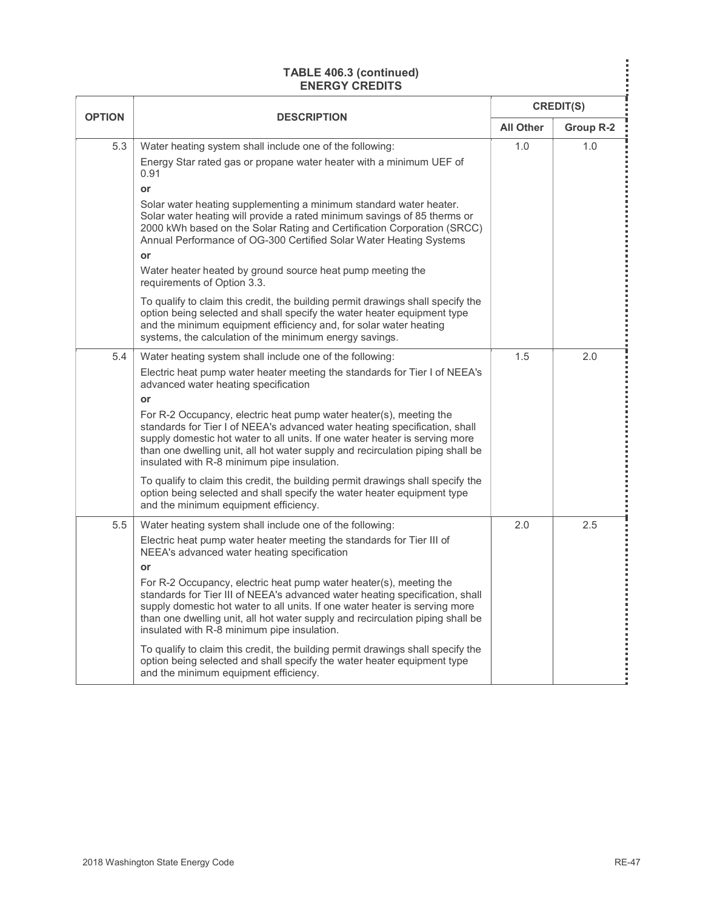|               | TABLE 406.3 (continued)<br><b>ENERGY CREDITS</b>                                                                                                                                                                                                                                                                                                                   |                  |                  |
|---------------|--------------------------------------------------------------------------------------------------------------------------------------------------------------------------------------------------------------------------------------------------------------------------------------------------------------------------------------------------------------------|------------------|------------------|
| <b>OPTION</b> | <b>DESCRIPTION</b>                                                                                                                                                                                                                                                                                                                                                 |                  | <b>CREDIT(S)</b> |
|               |                                                                                                                                                                                                                                                                                                                                                                    | <b>All Other</b> | Group R-2        |
| 5.3           | Water heating system shall include one of the following:<br>Energy Star rated gas or propane water heater with a minimum UEF of<br>0.91<br>or<br>Solar water heating supplementing a minimum standard water heater.                                                                                                                                                | 1.0              | 1.0              |
|               | Solar water heating will provide a rated minimum savings of 85 therms or<br>2000 kWh based on the Solar Rating and Certification Corporation (SRCC)<br>Annual Performance of OG-300 Certified Solar Water Heating Systems<br>or<br>Water heater heated by ground source heat pump meeting the                                                                      |                  |                  |
|               | requirements of Option 3.3.                                                                                                                                                                                                                                                                                                                                        |                  |                  |
|               | To qualify to claim this credit, the building permit drawings shall specify the<br>option being selected and shall specify the water heater equipment type<br>and the minimum equipment efficiency and, for solar water heating<br>systems, the calculation of the minimum energy savings.                                                                         |                  |                  |
| 5.4           | Water heating system shall include one of the following:<br>Electric heat pump water heater meeting the standards for Tier I of NEEA's<br>advanced water heating specification<br>or                                                                                                                                                                               | 1.5              | 2.0              |
|               | For R-2 Occupancy, electric heat pump water heater(s), meeting the<br>standards for Tier I of NEEA's advanced water heating specification, shall<br>supply domestic hot water to all units. If one water heater is serving more<br>than one dwelling unit, all hot water supply and recirculation piping shall be<br>insulated with R-8 minimum pipe insulation.   |                  |                  |
|               | To qualify to claim this credit, the building permit drawings shall specify the<br>option being selected and shall specify the water heater equipment type<br>and the minimum equipment efficiency.                                                                                                                                                                |                  |                  |
| 5.5           | Water heating system shall include one of the following:<br>Electric heat pump water heater meeting the standards for Tier III of<br>NEEA's advanced water heating specification<br>or                                                                                                                                                                             | 2.0              | 2.5              |
|               | For R-2 Occupancy, electric heat pump water heater(s), meeting the<br>standards for Tier III of NEEA's advanced water heating specification, shall<br>supply domestic hot water to all units. If one water heater is serving more<br>than one dwelling unit, all hot water supply and recirculation piping shall be<br>insulated with R-8 minimum pipe insulation. |                  |                  |
|               | To qualify to claim this credit, the building permit drawings shall specify the<br>option being selected and shall specify the water heater equipment type<br>and the minimum equipment efficiency.                                                                                                                                                                |                  |                  |